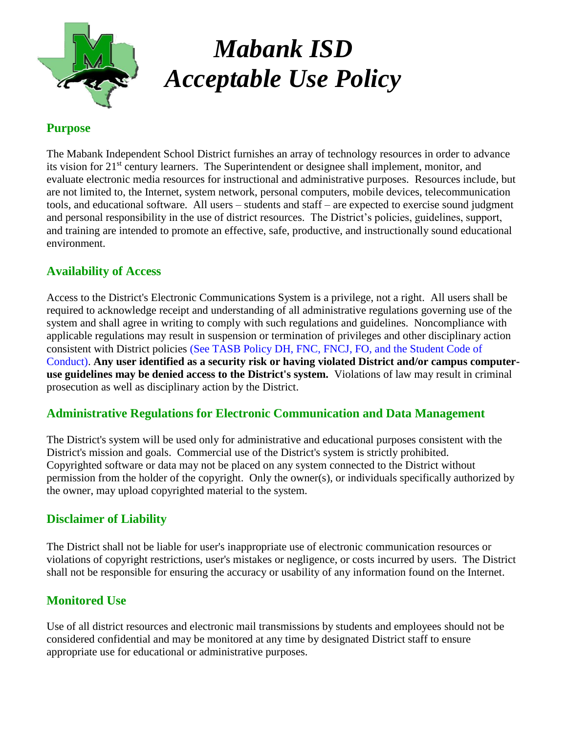

# *Mabank ISD Acceptable Use Policy*

#### **Purpose**

The Mabank Independent School District furnishes an array of technology resources in order to advance its vision for 21st century learners. The Superintendent or designee shall implement, monitor, and evaluate electronic media resources for instructional and administrative purposes. Resources include, but are not limited to, the Internet, system network, personal computers, mobile devices, telecommunication tools, and educational software. All users – students and staff – are expected to exercise sound judgment and personal responsibility in the use of district resources. The District's policies, guidelines, support, and training are intended to promote an effective, safe, productive, and instructionally sound educational environment.

#### **Availability of Access**

Access to the District's Electronic Communications System is a privilege, not a right. All users shall be required to acknowledge receipt and understanding of all administrative regulations governing use of the system and shall agree in writing to comply with such regulations and guidelines. Noncompliance with applicable regulations may result in suspension or termination of privileges and other disciplinary action consistent with District policies (See TASB Policy DH, FNC, FNCJ, FO, and the Student Code of Conduct). **Any user identified as a security risk or having violated District and/or campus computeruse guidelines may be denied access to the District's system.** Violations of law may result in criminal prosecution as well as disciplinary action by the District.

#### **Administrative Regulations for Electronic Communication and Data Management**

The District's system will be used only for administrative and educational purposes consistent with the District's mission and goals. Commercial use of the District's system is strictly prohibited. Copyrighted software or data may not be placed on any system connected to the District without permission from the holder of the copyright. Only the owner(s), or individuals specifically authorized by the owner, may upload copyrighted material to the system.

#### **Disclaimer of Liability**

The District shall not be liable for user's inappropriate use of electronic communication resources or violations of copyright restrictions, user's mistakes or negligence, or costs incurred by users. The District shall not be responsible for ensuring the accuracy or usability of any information found on the Internet.

#### **Monitored Use**

Use of all district resources and electronic mail transmissions by students and employees should not be considered confidential and may be monitored at any time by designated District staff to ensure appropriate use for educational or administrative purposes.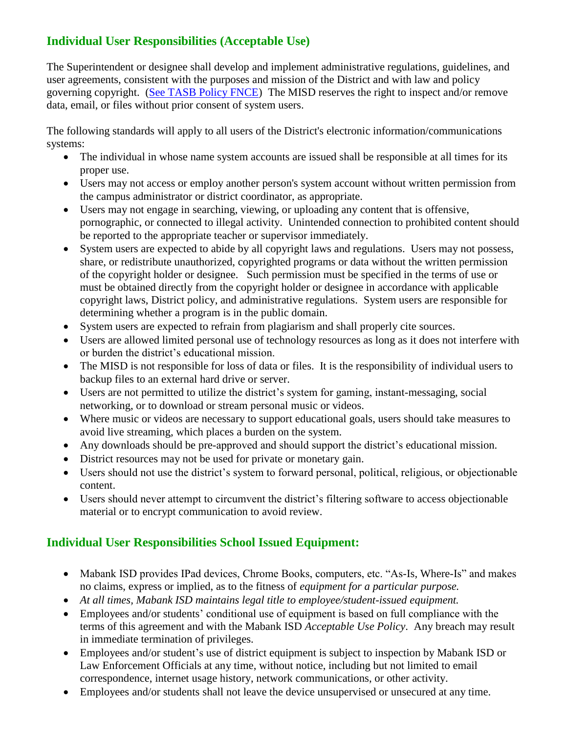# **Individual User Responsibilities (Acceptable Use)**

The Superintendent or designee shall develop and implement administrative regulations, guidelines, and user agreements, consistent with the purposes and mission of the District and with law and policy governing copyright. (See TASB Policy FNCE) The MISD reserves the right to inspect and/or remove data, email, or files without prior consent of system users.

The following standards will apply to all users of the District's electronic information/communications systems:

- The individual in whose name system accounts are issued shall be responsible at all times for its proper use.
- Users may not access or employ another person's system account without written permission from the campus administrator or district coordinator, as appropriate.
- Users may not engage in searching, viewing, or uploading any content that is offensive, pornographic, or connected to illegal activity. Unintended connection to prohibited content should be reported to the appropriate teacher or supervisor immediately.
- System users are expected to abide by all copyright laws and regulations. Users may not possess, share, or redistribute unauthorized, copyrighted programs or data without the written permission of the copyright holder or designee. Such permission must be specified in the terms of use or must be obtained directly from the copyright holder or designee in accordance with applicable copyright laws, District policy, and administrative regulations. System users are responsible for determining whether a program is in the public domain.
- System users are expected to refrain from plagiarism and shall properly cite sources.
- Users are allowed limited personal use of technology resources as long as it does not interfere with or burden the district's educational mission.
- The MISD is not responsible for loss of data or files. It is the responsibility of individual users to backup files to an external hard drive or server.
- Users are not permitted to utilize the district's system for gaming, instant-messaging, social networking, or to download or stream personal music or videos.
- Where music or videos are necessary to support educational goals, users should take measures to avoid live streaming, which places a burden on the system.
- Any downloads should be pre-approved and should support the district's educational mission.
- District resources may not be used for private or monetary gain.
- Users should not use the district's system to forward personal, political, religious, or objectionable content.
- Users should never attempt to circumvent the district's filtering software to access objectionable material or to encrypt communication to avoid review.

# **Individual User Responsibilities School Issued Equipment:**

- Mabank ISD provides IPad devices, Chrome Books, computers, etc. "As-Is, Where-Is" and makes no claims, express or implied, as to the fitness of *equipment for a particular purpose.*
- *At all times, Mabank ISD maintains legal title to employee/student-issued equipment.*
- Employees and/or students' conditional use of equipment is based on full compliance with the terms of this agreement and with the Mabank ISD *Acceptable Use Policy*. Any breach may result in immediate termination of privileges.
- Employees and/or student's use of district equipment is subject to inspection by Mabank ISD or Law Enforcement Officials at any time, without notice, including but not limited to email correspondence, internet usage history, network communications, or other activity.
- Employees and/or students shall not leave the device unsupervised or unsecured at any time.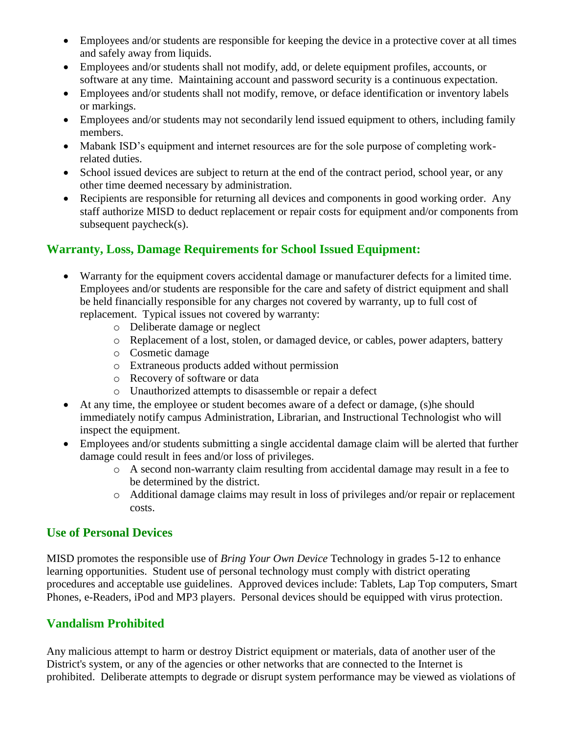- Employees and/or students are responsible for keeping the device in a protective cover at all times and safely away from liquids.
- Employees and/or students shall not modify, add, or delete equipment profiles, accounts, or software at any time. Maintaining account and password security is a continuous expectation.
- Employees and/or students shall not modify, remove, or deface identification or inventory labels or markings.
- Employees and/or students may not secondarily lend issued equipment to others, including family members.
- Mabank ISD's equipment and internet resources are for the sole purpose of completing workrelated duties.
- School issued devices are subject to return at the end of the contract period, school year, or any other time deemed necessary by administration.
- Recipients are responsible for returning all devices and components in good working order. Any staff authorize MISD to deduct replacement or repair costs for equipment and/or components from subsequent paycheck(s).

# **Warranty, Loss, Damage Requirements for School Issued Equipment:**

- Warranty for the equipment covers accidental damage or manufacturer defects for a limited time. Employees and/or students are responsible for the care and safety of district equipment and shall be held financially responsible for any charges not covered by warranty, up to full cost of replacement. Typical issues not covered by warranty:
	- o Deliberate damage or neglect
	- o Replacement of a lost, stolen, or damaged device, or cables, power adapters, battery
	- o Cosmetic damage
	- o Extraneous products added without permission
	- o Recovery of software or data
	- o Unauthorized attempts to disassemble or repair a defect
- At any time, the employee or student becomes aware of a defect or damage, (s)he should immediately notify campus Administration, Librarian, and Instructional Technologist who will inspect the equipment.
- Employees and/or students submitting a single accidental damage claim will be alerted that further damage could result in fees and/or loss of privileges.
	- o A second non-warranty claim resulting from accidental damage may result in a fee to be determined by the district.
	- o Additional damage claims may result in loss of privileges and/or repair or replacement costs.

#### **Use of Personal Devices**

MISD promotes the responsible use of *Bring Your Own Device* Technology in grades 5-12 to enhance learning opportunities. Student use of personal technology must comply with district operating procedures and acceptable use guidelines. Approved devices include: Tablets, Lap Top computers, Smart Phones, e-Readers, iPod and MP3 players. Personal devices should be equipped with virus protection.

# **Vandalism Prohibited**

Any malicious attempt to harm or destroy District equipment or materials, data of another user of the District's system, or any of the agencies or other networks that are connected to the Internet is prohibited. Deliberate attempts to degrade or disrupt system performance may be viewed as violations of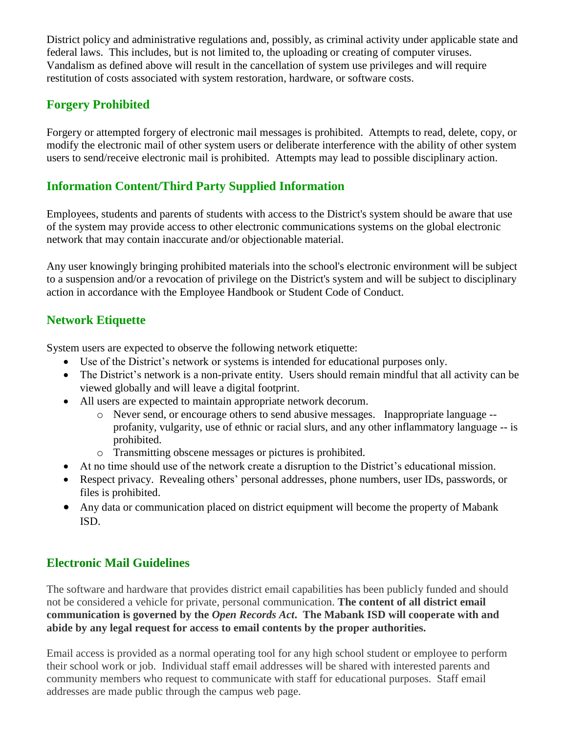District policy and administrative regulations and, possibly, as criminal activity under applicable state and federal laws. This includes, but is not limited to, the uploading or creating of computer viruses. Vandalism as defined above will result in the cancellation of system use privileges and will require restitution of costs associated with system restoration, hardware, or software costs.

#### **Forgery Prohibited**

Forgery or attempted forgery of electronic mail messages is prohibited. Attempts to read, delete, copy, or modify the electronic mail of other system users or deliberate interference with the ability of other system users to send/receive electronic mail is prohibited. Attempts may lead to possible disciplinary action.

#### **Information Content/Third Party Supplied Information**

Employees, students and parents of students with access to the District's system should be aware that use of the system may provide access to other electronic communications systems on the global electronic network that may contain inaccurate and/or objectionable material.

Any user knowingly bringing prohibited materials into the school's electronic environment will be subject to a suspension and/or a revocation of privilege on the District's system and will be subject to disciplinary action in accordance with the Employee Handbook or Student Code of Conduct.

#### **Network Etiquette**

System users are expected to observe the following network etiquette:

- Use of the District's network or systems is intended for educational purposes only.
- The District's network is a non-private entity. Users should remain mindful that all activity can be viewed globally and will leave a digital footprint.
- All users are expected to maintain appropriate network decorum.
	- o Never send, or encourage others to send abusive messages. Inappropriate language profanity, vulgarity, use of ethnic or racial slurs, and any other inflammatory language -- is prohibited.
	- o Transmitting obscene messages or pictures is prohibited.
- At no time should use of the network create a disruption to the District's educational mission.
- Respect privacy. Revealing others' personal addresses, phone numbers, user IDs, passwords, or files is prohibited.
- Any data or communication placed on district equipment will become the property of Mabank ISD.

# **Electronic Mail Guidelines**

The software and hardware that provides district email capabilities has been publicly funded and should not be considered a vehicle for private, personal communication. **The content of all district email communication is governed by the** *Open Records Act***. The Mabank ISD will cooperate with and abide by any legal request for access to email contents by the proper authorities.**

Email access is provided as a normal operating tool for any high school student or employee to perform their school work or job. Individual staff email addresses will be shared with interested parents and community members who request to communicate with staff for educational purposes. Staff email addresses are made public through the campus web page.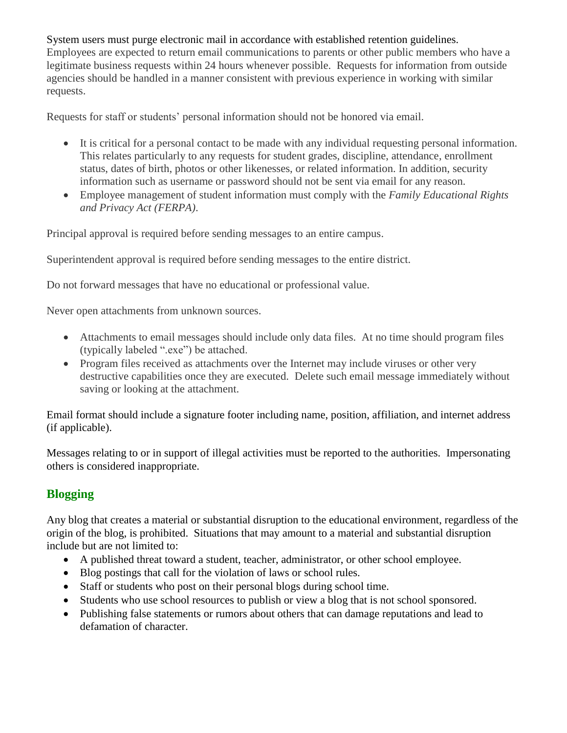System users must purge electronic mail in accordance with established retention guidelines. Employees are expected to return email communications to parents or other public members who have a legitimate business requests within 24 hours whenever possible. Requests for information from outside agencies should be handled in a manner consistent with previous experience in working with similar requests.

Requests for staff or students' personal information should not be honored via email.

- It is critical for a personal contact to be made with any individual requesting personal information. This relates particularly to any requests for student grades, discipline, attendance, enrollment status, dates of birth, photos or other likenesses, or related information. In addition, security information such as username or password should not be sent via email for any reason.
- Employee management of student information must comply with the *Family Educational Rights and Privacy Act (FERPA)*.

Principal approval is required before sending messages to an entire campus.

Superintendent approval is required before sending messages to the entire district.

Do not forward messages that have no educational or professional value.

Never open attachments from unknown sources.

- Attachments to email messages should include only data files. At no time should program files (typically labeled ".exe") be attached.
- Program files received as attachments over the Internet may include viruses or other very destructive capabilities once they are executed. Delete such email message immediately without saving or looking at the attachment.

Email format should include a signature footer including name, position, affiliation, and internet address (if applicable).

Messages relating to or in support of illegal activities must be reported to the authorities. Impersonating others is considered inappropriate.

# **Blogging**

Any blog that creates a material or substantial disruption to the educational environment, regardless of the origin of the blog, is prohibited. Situations that may amount to a material and substantial disruption include but are not limited to:

- A published threat toward a student, teacher, administrator, or other school employee.
- Blog postings that call for the violation of laws or school rules.
- Staff or students who post on their personal blogs during school time.
- Students who use school resources to publish or view a blog that is not school sponsored.
- Publishing false statements or rumors about others that can damage reputations and lead to defamation of character.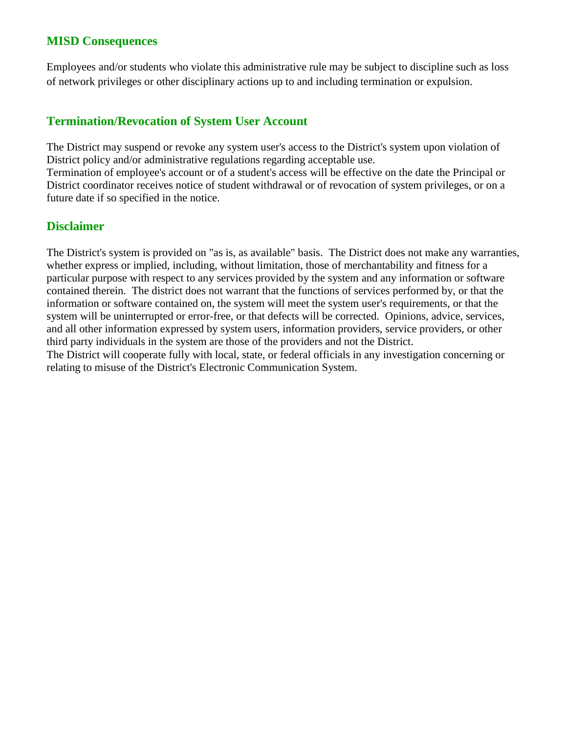#### **MISD Consequences**

Employees and/or students who violate this administrative rule may be subject to discipline such as loss of network privileges or other disciplinary actions up to and including termination or expulsion.

#### **Termination/Revocation of System User Account**

The District may suspend or revoke any system user's access to the District's system upon violation of District policy and/or administrative regulations regarding acceptable use.

Termination of employee's account or of a student's access will be effective on the date the Principal or District coordinator receives notice of student withdrawal or of revocation of system privileges, or on a future date if so specified in the notice.

#### **Disclaimer**

The District's system is provided on "as is, as available" basis. The District does not make any warranties, whether express or implied, including, without limitation, those of merchantability and fitness for a particular purpose with respect to any services provided by the system and any information or software contained therein. The district does not warrant that the functions of services performed by, or that the information or software contained on, the system will meet the system user's requirements, or that the system will be uninterrupted or error-free, or that defects will be corrected. Opinions, advice, services, and all other information expressed by system users, information providers, service providers, or other third party individuals in the system are those of the providers and not the District. The District will cooperate fully with local, state, or federal officials in any investigation concerning or relating to misuse of the District's Electronic Communication System.